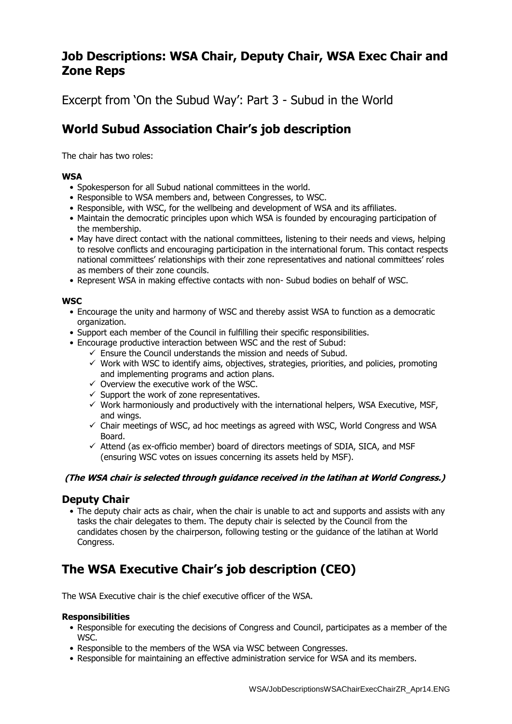# **Job Descriptions: WSA Chair, Deputy Chair, WSA Exec Chair and Zone Reps**

Excerpt from 'On the Subud Way': Part 3 - Subud in the World

# **World Subud Association Chair's job description**

The chair has two roles:

### **WSA**

- Spokesperson for all Subud national committees in the world.
- Responsible to WSA members and, between Congresses, to WSC.
- Responsible, with WSC, for the wellbeing and development of WSA and its affiliates.
- Maintain the democratic principles upon which WSA is founded by encouraging participation of the membership.
- May have direct contact with the national committees, listening to their needs and views, helping to resolve conflicts and encouraging participation in the international forum. This contact respects national committees' relationships with their zone representatives and national committees' roles as members of their zone councils.
- Represent WSA in making effective contacts with non- Subud bodies on behalf of WSC.

#### **WSC**

- Encourage the unity and harmony of WSC and thereby assist WSA to function as a democratic organization.
- Support each member of the Council in fulfilling their specific responsibilities.
- Encourage productive interaction between WSC and the rest of Subud:
	- $\checkmark$  Ensure the Council understands the mission and needs of Subud.
	- $\checkmark$  Work with WSC to identify aims, objectives, strategies, priorities, and policies, promoting and implementing programs and action plans.
	- $\checkmark$  Overview the executive work of the WSC.
	- $\checkmark$  Support the work of zone representatives.
	- $\checkmark$  Work harmoniously and productively with the international helpers, WSA Executive, MSF, and wings.
	- $\checkmark$  Chair meetings of WSC, ad hoc meetings as agreed with WSC, World Congress and WSA Board.
	- $\checkmark$  Attend (as ex-officio member) board of directors meetings of SDIA, SICA, and MSF (ensuring WSC votes on issues concerning its assets held by MSF).

#### **(The WSA chair is selected through guidance received in the latihan at World Congress.)**

# **Deputy Chair**

• The deputy chair acts as chair, when the chair is unable to act and supports and assists with any tasks the chair delegates to them. The deputy chair is selected by the Council from the candidates chosen by the chairperson, following testing or the guidance of the latihan at World Congress.

# **The WSA Executive Chair's job description (CEO)**

The WSA Executive chair is the chief executive officer of the WSA.

#### **Responsibilities**

- Responsible for executing the decisions of Congress and Council, participates as a member of the WSC.
- Responsible to the members of the WSA via WSC between Congresses.
- Responsible for maintaining an effective administration service for WSA and its members.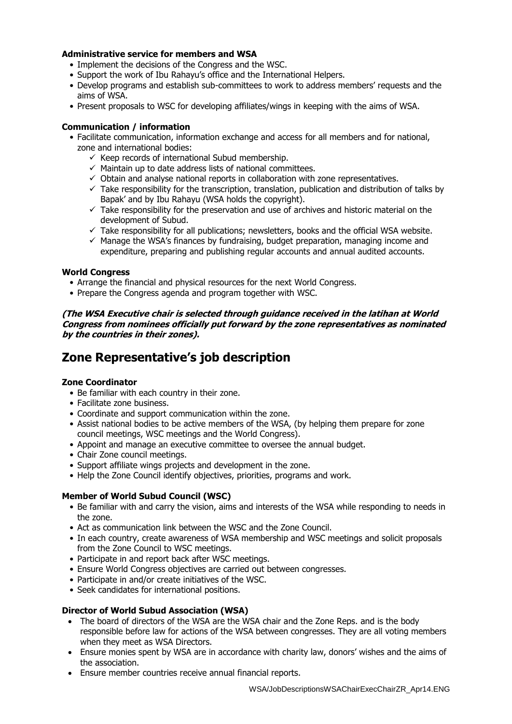#### **Administrative service for members and WSA**

- Implement the decisions of the Congress and the WSC.
- Support the work of Ibu Rahayu's office and the International Helpers.
- Develop programs and establish sub-committees to work to address members' requests and the aims of WSA.
- Present proposals to WSC for developing affiliates/wings in keeping with the aims of WSA.

#### **Communication / information**

- Facilitate communication, information exchange and access for all members and for national, zone and international bodies:
	- $\checkmark$  Keep records of international Subud membership.
	- $\checkmark$  Maintain up to date address lists of national committees.
	- $\checkmark$  Obtain and analyse national reports in collaboration with zone representatives.
	- $\checkmark$  Take responsibility for the transcription, translation, publication and distribution of talks by Bapak' and by Ibu Rahayu (WSA holds the copyright).
	- $\checkmark$  Take responsibility for the preservation and use of archives and historic material on the development of Subud.
	- $\checkmark$  Take responsibility for all publications; newsletters, books and the official WSA website.
	- $\checkmark$  Manage the WSA's finances by fundraising, budget preparation, managing income and expenditure, preparing and publishing regular accounts and annual audited accounts.

#### **World Congress**

- Arrange the financial and physical resources for the next World Congress.
- Prepare the Congress agenda and program together with WSC.

**(The WSA Executive chair is selected through guidance received in the latihan at World Congress from nominees officially put forward by the zone representatives as nominated by the countries in their zones).**

# **Zone Representative's job description**

#### **Zone Coordinator**

- Be familiar with each country in their zone.
- Facilitate zone business.
- Coordinate and support communication within the zone.
- Assist national bodies to be active members of the WSA, (by helping them prepare for zone council meetings, WSC meetings and the World Congress).
- Appoint and manage an executive committee to oversee the annual budget.
- Chair Zone council meetings.
- Support affiliate wings projects and development in the zone.
- Help the Zone Council identify objectives, priorities, programs and work.

#### **Member of World Subud Council (WSC)**

- Be familiar with and carry the vision, aims and interests of the WSA while responding to needs in the zone.
- Act as communication link between the WSC and the Zone Council.
- In each country, create awareness of WSA membership and WSC meetings and solicit proposals from the Zone Council to WSC meetings.
- Participate in and report back after WSC meetings.
- Ensure World Congress objectives are carried out between congresses.
- Participate in and/or create initiatives of the WSC.
- Seek candidates for international positions.

#### **Director of World Subud Association (WSA)**

- The board of directors of the WSA are the WSA chair and the Zone Reps. and is the body responsible before law for actions of the WSA between congresses. They are all voting members when they meet as WSA Directors.
- Ensure monies spent by WSA are in accordance with charity law, donors' wishes and the aims of the association.
- Ensure member countries receive annual financial reports.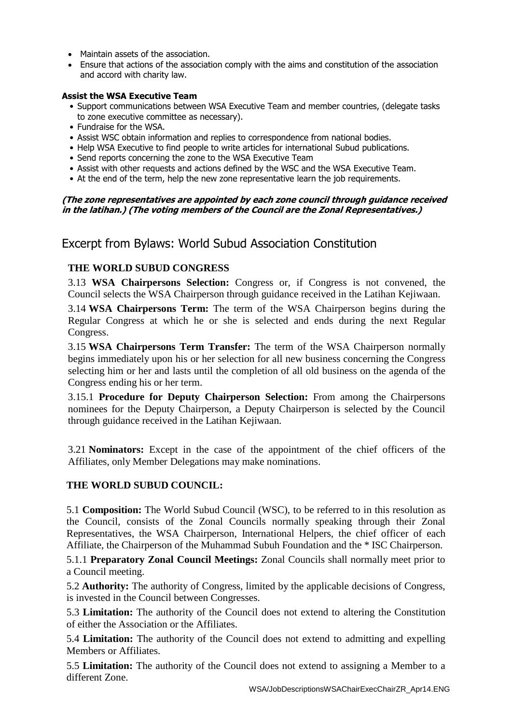- Maintain assets of the association.
- Ensure that actions of the association comply with the aims and constitution of the association and accord with charity law.

#### **Assist the WSA Executive Team**

- Support communications between WSA Executive Team and member countries, (delegate tasks to zone executive committee as necessary).
- Fundraise for the WSA.
- Assist WSC obtain information and replies to correspondence from national bodies.
- Help WSA Executive to find people to write articles for international Subud publications.
- Send reports concerning the zone to the WSA Executive Team
- Assist with other requests and actions defined by the WSC and the WSA Executive Team.
- At the end of the term, help the new zone representative learn the job requirements.

#### **(The zone representatives are appointed by each zone council through guidance received in the latihan.) (The voting members of the Council are the Zonal Representatives.)**

# Excerpt from Bylaws: World Subud Association Constitution

# **THE WORLD SUBUD CONGRESS**

3.13 **WSA Chairpersons Selection:** Congress or, if Congress is not convened, the Council selects the WSA Chairperson through guidance received in the Latihan Kejiwaan.

3.14 **WSA Chairpersons Term:** The term of the WSA Chairperson begins during the Regular Congress at which he or she is selected and ends during the next Regular Congress.

3.15 **WSA Chairpersons Term Transfer:** The term of the WSA Chairperson normally begins immediately upon his or her selection for all new business concerning the Congress selecting him or her and lasts until the completion of all old business on the agenda of the Congress ending his or her term.

3.15.1 **Procedure for Deputy Chairperson Selection:** From among the Chairpersons nominees for the Deputy Chairperson, a Deputy Chairperson is selected by the Council through guidance received in the Latihan Kejiwaan.

3.21 **Nominators:** Except in the case of the appointment of the chief officers of the Affiliates, only Member Delegations may make nominations.

# **THE WORLD SUBUD COUNCIL:**

5.1 **Composition:** The World Subud Council (WSC), to be referred to in this resolution as the Council, consists of the Zonal Councils normally speaking through their Zonal Representatives, the WSA Chairperson, International Helpers, the chief officer of each Affiliate, the Chairperson of the Muhammad Subuh Foundation and the \* ISC Chairperson.

5.1.1 **Preparatory Zonal Council Meetings:** Zonal Councils shall normally meet prior to a Council meeting.

5.2 **Authority:** The authority of Congress, limited by the applicable decisions of Congress, is invested in the Council between Congresses.

5.3 **Limitation:** The authority of the Council does not extend to altering the Constitution of either the Association or the Affiliates.

5.4 **Limitation:** The authority of the Council does not extend to admitting and expelling Members or Affiliates.

5.5 **Limitation:** The authority of the Council does not extend to assigning a Member to a different Zone.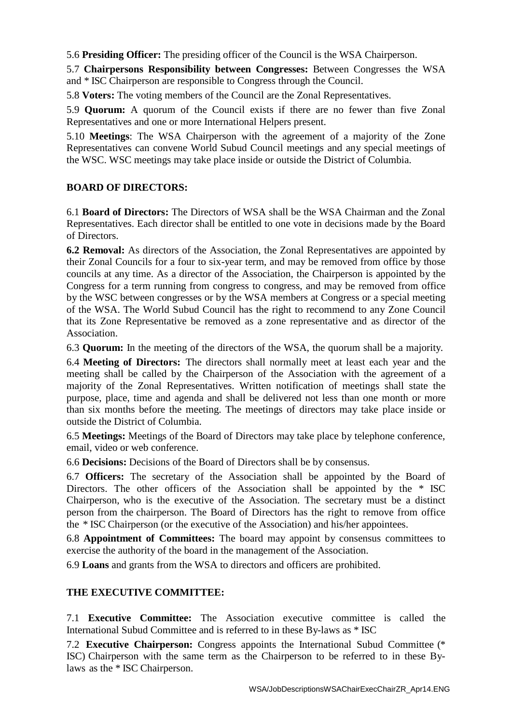5.6 **Presiding Officer:** The presiding officer of the Council is the WSA Chairperson.

5.7 **Chairpersons Responsibility between Congresses:** Between Congresses the WSA and \* ISC Chairperson are responsible to Congress through the Council.

5.8 **Voters:** The voting members of the Council are the Zonal Representatives.

5.9 **Quorum:** A quorum of the Council exists if there are no fewer than five Zonal Representatives and one or more International Helpers present.

5.10 **Meetings**: The WSA Chairperson with the agreement of a majority of the Zone Representatives can convene World Subud Council meetings and any special meetings of the WSC. WSC meetings may take place inside or outside the District of Columbia.

# **BOARD OF DIRECTORS:**

6.1 **Board of Directors:** The Directors of WSA shall be the WSA Chairman and the Zonal Representatives. Each director shall be entitled to one vote in decisions made by the Board of Directors.

**6.2 Removal:** As directors of the Association, the Zonal Representatives are appointed by their Zonal Councils for a four to six-year term, and may be removed from office by those councils at any time. As a director of the Association, the Chairperson is appointed by the Congress for a term running from congress to congress, and may be removed from office by the WSC between congresses or by the WSA members at Congress or a special meeting of the WSA. The World Subud Council has the right to recommend to any Zone Council that its Zone Representative be removed as a zone representative and as director of the Association.

6.3 **Quorum:** In the meeting of the directors of the WSA, the quorum shall be a majority.

6.4 **Meeting of Directors:** The directors shall normally meet at least each year and the meeting shall be called by the Chairperson of the Association with the agreement of a majority of the Zonal Representatives. Written notification of meetings shall state the purpose, place, time and agenda and shall be delivered not less than one month or more than six months before the meeting. The meetings of directors may take place inside or outside the District of Columbia.

6.5 **Meetings:** Meetings of the Board of Directors may take place by telephone conference, email, video or web conference.

6.6 **Decisions:** Decisions of the Board of Directors shall be by consensus.

6.7 **Officers:** The secretary of the Association shall be appointed by the Board of Directors. The other officers of the Association shall be appointed by the \* ISC Chairperson, who is the executive of the Association. The secretary must be a distinct person from the chairperson. The Board of Directors has the right to remove from office the \* ISC Chairperson (or the executive of the Association) and his/her appointees.

6.8 **Appointment of Committees:** The board may appoint by consensus committees to exercise the authority of the board in the management of the Association.

6.9 **Loans** and grants from the WSA to directors and officers are prohibited.

# **THE EXECUTIVE COMMITTEE:**

7.1 **Executive Committee:** The Association executive committee is called the International Subud Committee and is referred to in these By-laws as \* ISC

7.2 **Executive Chairperson:** Congress appoints the International Subud Committee (\* ISC) Chairperson with the same term as the Chairperson to be referred to in these Bylaws as the \* ISC Chairperson.